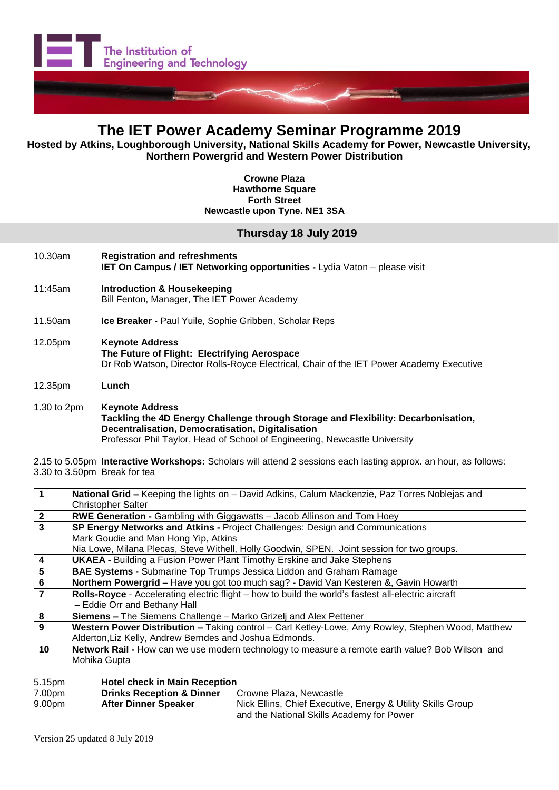

# **The IET Power Academy Seminar Programme 2019**

 **Hosted by Atkins, Loughborough University, National Skills Academy for Power, Newcastle University, Northern Powergrid and Western Power Distribution**

> **Crowne Plaza Hawthorne Square Forth Street Newcastle upon Tyne. NE1 3SA**

## **Thursday 18 July 2019**

- 10.30am **Registration and refreshments IET On Campus / IET Networking opportunities -** Lydia Vaton – please visit 11:45am **Introduction & Housekeeping**
- Bill Fenton, Manager, The IET Power Academy
- 11.50am **Ice Breaker** Paul Yuile, Sophie Gribben, Scholar Reps
- 12.05pm **Keynote Address The Future of Flight: Electrifying Aerospace** Dr Rob Watson, Director Rolls-Royce Electrical, Chair of the IET Power Academy Executive
- 12.35pm **Lunch**

1.30 to 2pm **Keynote Address Tackling the 4D Energy Challenge through Storage and Flexibility: Decarbonisation, Decentralisation, Democratisation, Digitalisation** Professor Phil Taylor, Head of School of Engineering, Newcastle University

<sup>2.15</sup> to 5.05pm **Interactive Workshops:** Scholars will attend 2 sessions each lasting approx. an hour, as follows: 3.30 to 3.50pm Break for tea

|                | National Grid - Keeping the lights on - David Adkins, Calum Mackenzie, Paz Torres Noblejas and      |  |  |
|----------------|-----------------------------------------------------------------------------------------------------|--|--|
|                | <b>Christopher Salter</b>                                                                           |  |  |
| $\mathbf{2}$   | <b>RWE Generation - Gambling with Giggawatts - Jacob Allinson and Tom Hoey</b>                      |  |  |
| 3              | SP Energy Networks and Atkins - Project Challenges: Design and Communications                       |  |  |
|                | Mark Goudie and Man Hong Yip, Atkins                                                                |  |  |
|                | Nia Lowe, Milana Plecas, Steve Withell, Holly Goodwin, SPEN. Joint session for two groups.          |  |  |
| 4              | <b>UKAEA - Building a Fusion Power Plant Timothy Erskine and Jake Stephens</b>                      |  |  |
| 5              | <b>BAE Systems - Submarine Top Trumps Jessica Liddon and Graham Ramage</b>                          |  |  |
| $6\phantom{1}$ | Northern Powergrid - Have you got too much sag? - David Van Kesteren &, Gavin Howarth               |  |  |
| 7              | Rolls-Royce - Accelerating electric flight - how to build the world's fastest all-electric aircraft |  |  |
|                | - Eddie Orr and Bethany Hall                                                                        |  |  |
| 8              | Siemens - The Siemens Challenge - Marko Grizelj and Alex Pettener                                   |  |  |
| 9              | Western Power Distribution - Taking control - Carl Ketley-Lowe, Amy Rowley, Stephen Wood, Matthew   |  |  |
|                | Alderton, Liz Kelly, Andrew Berndes and Joshua Edmonds.                                             |  |  |
| 10             | Network Rail - How can we use modern technology to measure a remote earth value? Bob Wilson and     |  |  |
|                | Mohika Gupta                                                                                        |  |  |
|                |                                                                                                     |  |  |

### 5.15pm **Hotel check in Main Reception**

| 7.00pm             | <b>Drinks Reception &amp; Dinner</b> | Crowne Plaza, Newcastle                                     |
|--------------------|--------------------------------------|-------------------------------------------------------------|
| 9.00 <sub>pm</sub> | After Dinner Speaker                 | Nick Ellins, Chief Executive, Energy & Utility Skills Group |
|                    |                                      | and the National Skills Academy for Power                   |